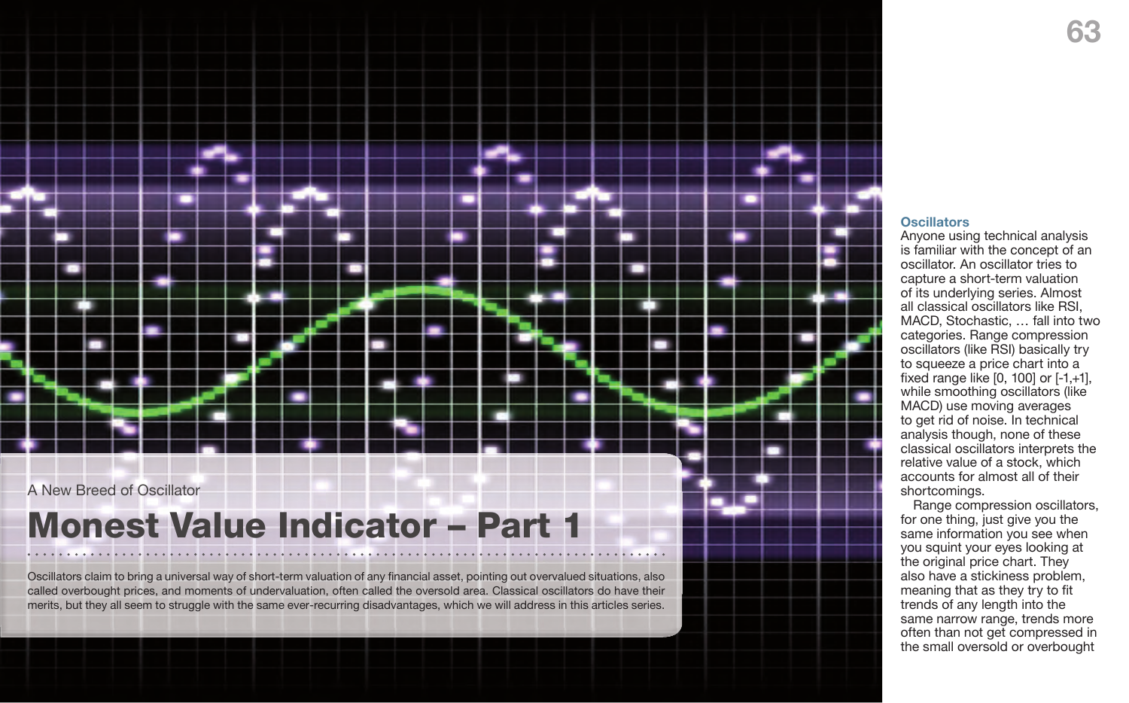## **63**



# Monest Value Indicator – Part 1

Oscillators claim to bring a universal way of short-term valuation of any financial asset, pointing out overvalued situations, also called overbought prices, and moments of undervaluation, often called the oversold area. Classical oscillators do have their merits, but they all seem to struggle with the same ever-recurring disadvantages, which we will address in this articles series.

### **Oscillators**

Anyone using technical analysis is familiar with the concept of an oscillator. An oscillator tries to capture a short-term valuation of its underlying series. Almost all classical oscillators like RSI, MACD, Stochastic, … fall into two categories. Range compression oscillators (like RSI) basically try to squeeze a price chart into a fixed range like [0, 100] or [-1,+1], while smoothing oscillators (like MACD) use moving averages to get rid of noise. In technical analysis though, none of these classical oscillators interprets the relative value of a stock, which accounts for almost all of their shortcomings.

Range compression oscillators, for one thing, just give you the same information you see when you squint your eyes looking at the original price chart. They also have a stickiness problem, meaning that as they try to fit trends of any length into the same narrow range, trends more often than not get compressed in the small oversold or overbought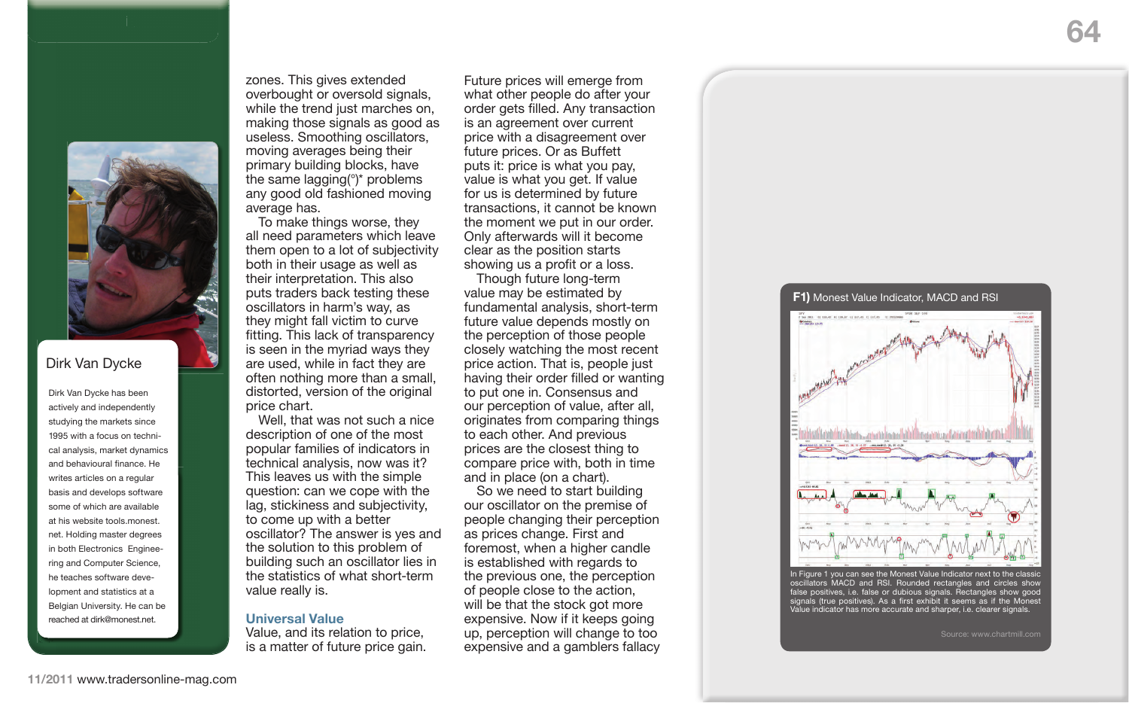

In Figure 1 you can see the Monest Value Indicator next to the classic oscillators MACD and RSI. Rounded rectangles and circles show false positives, i.e. false or dubious signals. Rectangles show good signals (true positives). As a first exhibit it seems as if the Monest Value indicator has more accurate and sharper, i.e. clearer signals.

Source: www.chartmill.com

zones. This gives extended overbought or oversold signals, while the trend just marches on, making those signals as good as useless. Smoothing oscillators, moving averages being their primary building blocks, have the same lagging(°)\* problems any good old fashioned moving average has.

To make things worse, they all need parameters which leave them open to a lot of subjectivity both in their usage as well as their interpretation. This also puts traders back testing these oscillators in harm's way, as they might fall victim to curve fitting. This lack of transparency is seen in the myriad ways they are used, while in fact they are often nothing more than a small, distorted, version of the original price chart.

Well, that was not such a nice description of one of the most popular families of indicators in technical analysis, now was it? This leaves us with the simple question: can we cope with the lag, stickiness and subjectivity, to come up with a better oscillator? The answer is yes and the solution to this problem of building such an oscillator lies in the statistics of what short-term value really is.

#### **Universal Value**

Value, and its relation to price, is a matter of future price gain.

basis and develops software at his website tools.monest. Dirk Van Dycke has been actively and independently studying the markets since 1995 with a focus on technical analysis, market dynamics and behavioural finance. He writes articles on a regular some of which are available net. Holding master degrees in both Electronics Engineering and Computer Science, he teaches software development and statistics at a Belgian University. He can be reached at dirk@monest.net.

Future prices will emerge from what other people do after your order gets filled. Any transaction is an agreement over current price with a disagreement over future prices. Or as Buffett puts it: price is what you pay, value is what you get. If value for us is determined by future transactions, it cannot be known the moment we put in our order. Only afterwards will it become clear as the position starts showing us a profit or a loss.

Though future long-term value may be estimated by fundamental analysis, short-term future value depends mostly on the perception of those people closely watching the most recent price action. That is, people just having their order filled or wanting to put one in. Consensus and our perception of value, after all, originates from comparing things to each other. And previous prices are the closest thing to compare price with, both in time and in place (on a chart).

So we need to start building our oscillator on the premise of people changing their perception as prices change. First and foremost, when a higher candle is established with regards to the previous one, the perception of people close to the action, will be that the stock got more expensive. Now if it keeps going up, perception will change to too expensive and a gamblers fallacy

### Dirk Van Dycke